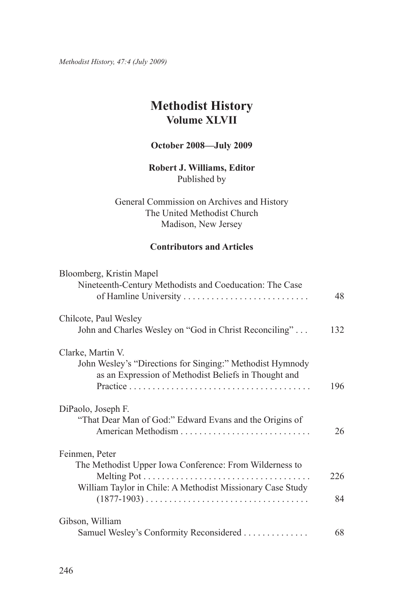*Methodist History, 47:4 (July 2009)*

# **Methodist History Volume XLVII**

## **October 2008—July 2009**

# **Robert J. Williams, Editor** Published by

General Commission on Archives and History The United Methodist Church Madison, New Jersey

# **Contributors and Articles**

| Bloomberg, Kristin Mapel<br>Nineteenth-Century Methodists and Coeducation: The Case                               |     |
|-------------------------------------------------------------------------------------------------------------------|-----|
|                                                                                                                   | 48  |
| Chilcote, Paul Wesley                                                                                             |     |
| John and Charles Wesley on "God in Christ Reconciling"                                                            | 132 |
| Clarke, Martin V.                                                                                                 |     |
| John Wesley's "Directions for Singing:" Methodist Hymnody<br>as an Expression of Methodist Beliefs in Thought and |     |
|                                                                                                                   | 196 |
| DiPaolo, Joseph F.                                                                                                |     |
| "That Dear Man of God:" Edward Evans and the Origins of                                                           | 26  |
| Feinmen, Peter                                                                                                    |     |
| The Methodist Upper Iowa Conference: From Wilderness to                                                           | 226 |
| William Taylor in Chile: A Methodist Missionary Case Study                                                        | 84  |
| Gibson, William                                                                                                   |     |
| Samuel Wesley's Conformity Reconsidered                                                                           | 68  |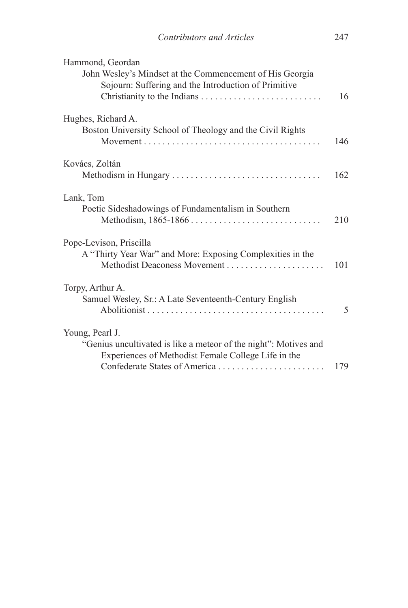| Hammond, Geordan<br>John Wesley's Mindset at the Commencement of His Georgia<br>Sojourn: Suffering and the Introduction of Primitive       | 16  |
|--------------------------------------------------------------------------------------------------------------------------------------------|-----|
| Hughes, Richard A.<br>Boston University School of Theology and the Civil Rights                                                            | 146 |
| Kovács, Zoltán                                                                                                                             | 162 |
| Lank, Tom<br>Poetic Sideshadowings of Fundamentalism in Southern                                                                           | 210 |
| Pope-Levison, Priscilla<br>A "Thirty Year War" and More: Exposing Complexities in the                                                      | 101 |
| Torpy, Arthur A.<br>Samuel Wesley, Sr.: A Late Seventeenth-Century English                                                                 | 5   |
| Young, Pearl J.<br>"Genius uncultivated is like a meteor of the night": Motives and<br>Experiences of Methodist Female College Life in the | 179 |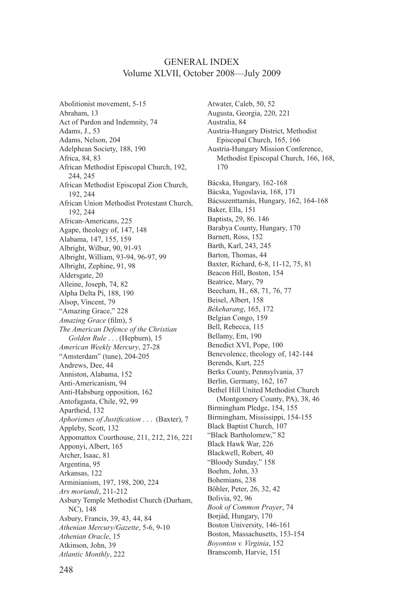#### General Index Volume XLVII, October 2008—July 2009

Abolitionist movement, 5-15 Abraham, 13 Act of Pardon and Indemnity, 74 Adams, J., 53 Adams, Nelson, 204 Adelphean Society, 188, 190 Africa, 84, 83 African Methodist Episcopal Church, 192, 244, 245 African Methodist Episcopal Zion Church, 192, 244 African Union Methodist Protestant Church, 192, 244 African-Americans, 225 Agape, theology of, 147, 148 Alabama, 147, 155, 159 Albright, Wilbur, 90, 91-93 Albright, William, 93-94, 96-97, 99 Albright, Zephine, 91, 98 Aldersgate, 20 Alleine, Joseph, 74, 82 Alpha Delta Pi, 188, 190 Alsop, Vincent, 79 "Amazing Grace," 228 *Amazing Grace* (film), 5 *The American Defence of the Christian Golden Rule* . . . (Hepburn), 15 *American Weekly Mercury*, 27-28 "Amsterdam" (tune), 204-205 Andrews, Dee, 44 Anniston, Alabama, 152 Anti-Americanism, 94 Anti-Habsburg opposition, 162 Antofagasta, Chile, 92, 99 Apartheid, 132 *Aphorismes of Justification* . . . (Baxter), 7 Appleby, Scott, 132 Appomattox Courthouse, 211, 212, 216, 221 Apponyi, Albert, 165 Archer, Isaac, 81 Argentina, 95 Arkansas, 122 Arminianism, 197, 198, 200, 224 *Ars moriandi*, 211-212 Asbury Temple Methodist Church (Durham, NC), 148 Asbury, Francis, 39, 43, 44, 84 *Athenian Mercury/Gazette*, 5-6, 9-10 *Athenian Oracle*, 15 Atkinson, John, 39 *Atlantic Monthly*, 222

Atwater, Caleb, 50, 52 Augusta, Georgia, 220, 221 Australia, 84 Austria-Hungary District, Methodist Episcopal Church, 165, 166 Austria-Hungary Mission Conference, Methodist Episcopal Church, 166, 168, 170 Bácska, Hungary, 162-168 Bácska, Yugoslavia, 168, 171 Bácsszenttamás, Hungary, 162, 164-168 Baker, Ella, 151 Baptists, 29, 86. 146 Barabya County, Hungary, 170 Barnett, Ross, 152 Barth, Karl, 243, 245 Barton, Thomas, 44 Baxter, Richard, 6-8, 11-12, 75, 81 Beacon Hill, Boston, 154 Beatrice, Mary, 79 Beecham, H., 68, 71, 76, 77 Beisel, Albert, 158 *Békeharang*, 165, 172 Belgian Congo, 159 Bell, Rebecca, 115 Bellamy, Em, 190 Benedict XVI, Pope, 100 Benevolence, theology of, 142-144 Berends, Kurt, 225 Berks County, Pennsylvania, 37 Berlin, Germany, 162, 167 Bethel Hill United Methodist Church (Montgomery County, PA), 38, 46 Birmingham Pledge, 154, 155 Birmingham, Mississippi, 154-155 Black Baptist Church, 107 "Black Bartholomew," 82 Black Hawk War, 226 Blackwell, Robert, 40 "Bloody Sunday," 158 Boehm, John, 33 Bohemians, 238 Böhler, Peter, 26, 32, 42 Bolivia, 92, 96 *Book of Common Prayer*, 74 Borjád, Hungary, 170 Boston University, 146-161 Boston, Massachusetts, 153-154 *Boyonton v. Virginia*, 152 Branscomb, Harvie, 151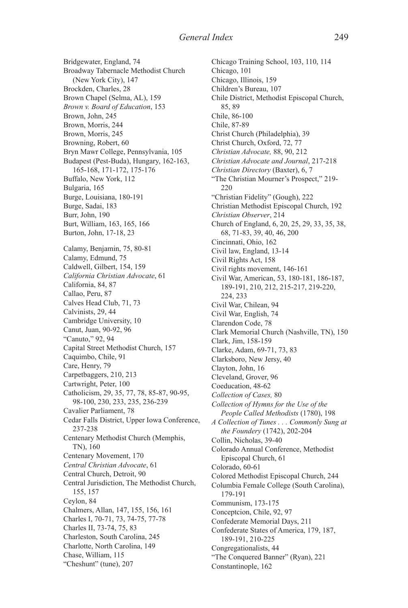Bridgewater, England, 74 Broadway Tabernacle Methodist Church (New York City), 147 Brockden, Charles, 28 Brown Chapel (Selma, AL), 159 *Brown v. Board of Education*, 153 Brown, John, 245 Brown, Morris, 244 Brown, Morris, 245 Browning, Robert, 60 Bryn Mawr College, Pennsylvania, 105 Budapest (Pest-Buda), Hungary, 162-163, 165-168, 171-172, 175-176 Buffalo, New York, 112 Bulgaria, 165 Burge, Louisiana, 180-191 Burge, Sadai, 183 Burr, John, 190 Burt, William, 163, 165, 166 Burton, John, 17-18, 23 Calamy, Benjamin, 75, 80-81 Calamy, Edmund, 75 Caldwell, Gilbert, 154, 159 *California Christian Advocate*, 61 California, 84, 87 Callao, Peru, 87 Calves Head Club, 71, 73 Calvinists, 29, 44 Cambridge University, 10 Canut, Juan, 90-92, 96 "Canuto," 92, 94 Capital Street Methodist Church, 157 Caquimbo, Chile, 91 Care, Henry, 79 Carpetbaggers, 210, 213 Cartwright, Peter, 100 Catholicism, 29, 35, 77, 78, 85-87, 90-95, 98-100, 230, 233, 235, 236-239 Cavalier Parliament, 78 Cedar Falls District, Upper Iowa Conference, 237-238 Centenary Methodist Church (Memphis, TN), 160 Centenary Movement, 170 *Central Christian Advocate*, 61 Central Church, Detroit, 90 Central Jurisdiction, The Methodist Church, 155, 157 Ceylon, 84 Chalmers, Allan, 147, 155, 156, 161 Charles I, 70-71, 73, 74-75, 77-78 Charles II, 73-74, 75, 83 Charleston, South Carolina, 245 Charlotte, North Carolina, 149 Chase, William, 115 "Cheshunt" (tune), 207

Chicago Training School, 103, 110, 114 Chicago, 101 Chicago, Illinois, 159 Children's Bureau, 107 Chile District, Methodist Episcopal Church, 85, 89 Chile, 86-100 Chile, 87-89 Christ Church (Philadelphia), 39 Christ Church, Oxford, 72, 77 *Christian Advocate,* 88, 90, 212 *Christian Advocate and Journal*, 217-218 *Christian Directory* (Baxter), 6, 7 "The Christian Mourner's Prospect," 219- 220 "Christian Fidelity" (Gough), 222 Christian Methodist Episcopal Church, 192 *Christian Observer*, 214 Church of England, 6, 20, 25, 29, 33, 35, 38, 68, 71-83, 39, 40, 46, 200 Cincinnati, Ohio, 162 Civil law, England, 13-14 Civil Rights Act, 158 Civil rights movement, 146-161 Civil War, American, 53, 180-181, 186-187, 189-191, 210, 212, 215-217, 219-220, 224, 233 Civil War, Chilean, 94 Civil War, English, 74 Clarendon Code, 78 Clark Memorial Church (Nashville, TN), 150 Clark, Jim, 158-159 Clarke, Adam, 69-71, 73, 83 Clarksboro, New Jersy, 40 Clayton, John, 16 Cleveland, Grover, 96 Coeducation, 48-62 *Collection of Cases,* 80 *Collection of Hymns for the Use of the People Called Methodists* (1780), 198 *A Collection of Tunes . . . Commonly Sung at the Foundery* (1742), 202-204 Collin, Nicholas, 39-40 Colorado Annual Conference, Methodist Episcopal Church, 61 Colorado, 60-61 Colored Methodist Episcopal Church, 244 Columbia Female College (South Carolina), 179-191 Communism, 173-175 Conceptcion, Chile, 92, 97 Confederate Memorial Days, 211 Confederate States of America, 179, 187, 189-191, 210-225 Congregationalists, 44 "The Conquered Banner" (Ryan), 221 Constantinople, 162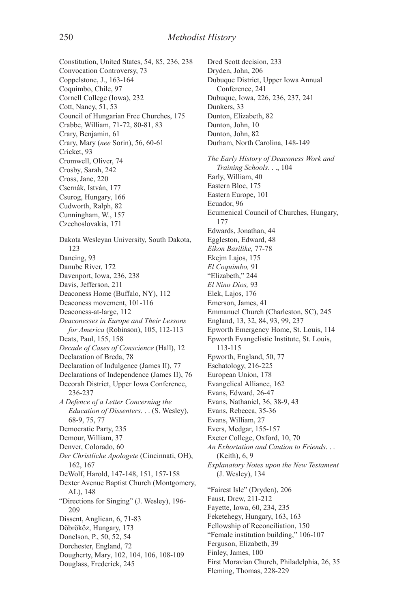Constitution, United States, 54, 85, 236, 238 Convocation Controversy, 73 Coppelstone, J., 163-164 Coquimbo, Chile, 97 Cornell College (Iowa), 232 Cott, Nancy, 51, 53 Council of Hungarian Free Churches, 175 Crabbe, William, 71-72, 80-81, 83 Crary, Benjamin, 61 Crary, Mary (*nee* Sorin), 56, 60-61 Cricket, 93 Cromwell, Oliver, 74 Crosby, Sarah, 242 Cross, Jane, 220 Csernák, István, 177 Csurog, Hungary, 166 Cudworth, Ralph, 82 Cunningham, W., 157 Czechoslovakia, 171 Dakota Wesleyan University, South Dakota, 123 Dancing, 93 Danube River, 172 Davenport, Iowa, 236, 238 Davis, Jefferson, 211 Deaconess Home (Buffalo, NY), 112 Deaconess movement, 101-116 Deaconess-at-large, 112 *Deaconesses in Europe and Their Lessons for America* (Robinson), 105, 112-113 Deats, Paul, 155, 158 *Decade of Cases of Conscience* (Hall), 12 Declaration of Breda, 78 Declaration of Indulgence (James II), 77 Declarations of Independence (James II), 76 Decorah District, Upper Iowa Conference, 236-237 *A Defence of a Letter Concerning the Education of Dissenters*. . . (S. Wesley), 68-9, 75, 77 Democratic Party, 235 Demour, William, 37 Denver, Colorado, 60 *Der Christliche Apologete* (Cincinnati, OH), 162, 167 DeWolf, Harold, 147-148, 151, 157-158 Dexter Avenue Baptist Church (Montgomery, AL), 148 "Directions for Singing" (J. Wesley), 196- 209 Dissent, Anglican, 6, 71-83 Döbrököz, Hungary, 173 Donelson, P., 50, 52, 54 Dorchester, England, 72 Dougherty, Mary, 102, 104, 106, 108-109 Douglass, Frederick, 245

Dred Scott decision, 233 Dryden, John, 206 Dubuque District, Upper Iowa Annual Conference, 241 Dubuque, Iowa, 226, 236, 237, 241 Dunkers, 33 Dunton, Elizabeth, 82 Dunton, John, 10 Dunton, John, 82 Durham, North Carolina, 148-149 *The Early History of Deaconess Work and Training Schools*. . ., 104 Early, William, 40 Eastern Bloc, 175 Eastern Europe, 101 Ecuador, 96 Ecumenical Council of Churches, Hungary, 177 Edwards, Jonathan, 44 Eggleston, Edward, 48 *Eikon Basilike,* 77-78 Ekejm Lajos, 175 *El Coquimbo,* 91 "Elizabeth," 244 *El Nino Dios,* 93 Elek, Lajos, 176 Emerson, James, 41 Emmanuel Church (Charleston, SC), 245 England, 13, 32, 84, 93, 99, 237 Epworth Emergency Home, St. Louis, 114 Epworth Evangelistic Institute, St. Louis, 113-115 Epworth, England, 50, 77 Eschatology, 216-225 European Union, 178 Evangelical Alliance, 162 Evans, Edward, 26-47 Evans, Nathaniel, 36, 38-9, 43 Evans, Rebecca, 35-36 Evans, William, 27 Evers, Medgar, 155-157 Exeter College, Oxford, 10, 70 *An Exhortation and Caution to Friends*. . . (Keith), 6, 9 *Explanatory Notes upon the New Testament* (J. Wesley), 134 "Fairest Isle" (Dryden), 206 Faust, Drew, 211-212 Fayette, Iowa, 60, 234, 235 Feketehegy, Hungary, 163, 163 Fellowship of Reconciliation, 150 "Female institution building," 106-107 Ferguson, Elizabeth, 39 Finley, James, 100 First Moravian Church, Philadelphia, 26, 35 Fleming, Thomas, 228-229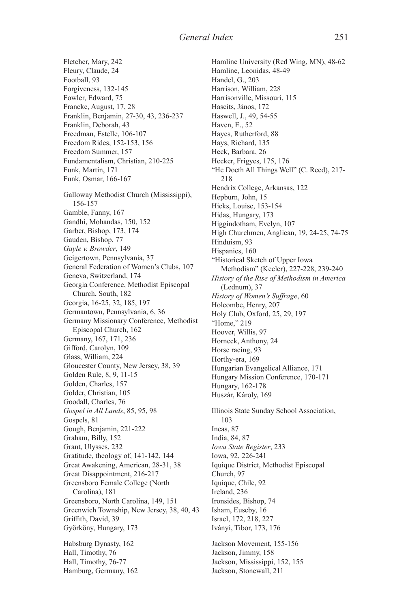Fletcher, Mary, 242 Fleury, Claude, 24 Football, 93 Forgiveness, 132-145 Fowler, Edward, 75 Francke, August, 17, 28 Franklin, Benjamin, 27-30, 43, 236-237 Franklin, Deborah, 43 Freedman, Estelle, 106-107 Freedom Rides, 152-153, 156 Freedom Summer, 157 Fundamentalism, Christian, 210-225 Funk, Martin, 171 Funk, Osmar, 166-167 Galloway Methodist Church (Mississippi), 156-157 Gamble, Fanny, 167 Gandhi, Mohandas, 150, 152 Garber, Bishop, 173, 174 Gauden, Bishop, 77 *Gayle v. Browder*, 149 Geigertown, Pennsylvania, 37 General Federation of Women's Clubs, 107 Geneva, Switzerland, 174 Georgia Conference, Methodist Episcopal Church, South, 182 Georgia, 16-25, 32, 185, 197 Germantown, Pennsylvania, 6, 36 Germany Missionary Conference, Methodist Episcopal Church, 162 Germany, 167, 171, 236 Gifford, Carolyn, 109 Glass, William, 224 Gloucester County, New Jersey, 38, 39 Golden Rule, 8, 9, 11-15 Golden, Charles, 157 Golder, Christian, 105 Goodall, Charles, 76 *Gospel in All Lands*, 85, 95, 98 Gospels, 81 Gough, Benjamin, 221-222 Graham, Billy, 152 Grant, Ulysses, 232 Gratitude, theology of, 141-142, 144 Great Awakening, American, 28-31, 38 Great Disappointment, 216-217 Greensboro Female College (North Carolina), 181 Greensboro, North Carolina, 149, 151 Greenwich Township, New Jersey, 38, 40, 43 Griffith, David, 39 Györköny, Hungary, 173 Habsburg Dynasty, 162 Hall, Timothy, 76

Hall, Timothy, 76-77 Hamburg, Germany, 162

Hamline University (Red Wing, MN), 48-62 Hamline, Leonidas, 48-49 Handel, G., 203 Harrison, William, 228 Harrisonville, Missouri, 115 Hascits, János, 172 Haswell, J., 49, 54-55 Haven, E., 52 Hayes, Rutherford, 88 Hays, Richard, 135 Heck, Barbara, 26 Hecker, Frigyes, 175, 176 "He Doeth All Things Well" (C. Reed), 217- 218 Hendrix College, Arkansas, 122 Hepburn, John, 15 Hicks, Louise, 153-154 Hidas, Hungary, 173 Higgindotham, Evelyn, 107 High Churchmen, Anglican, 19, 24-25, 74-75 Hinduism, 93 Hispanics, 160 "Historical Sketch of Upper Iowa Methodism" (Keeler), 227-228, 239-240 *History of the Rise of Methodism in America* (Lednum), 37 *History of Women's Suffrage*, 60 Holcombe, Henry, 207 Holy Club, Oxford, 25, 29, 197 "Home," 219 Hoover, Willis, 97 Horneck, Anthony, 24 Horse racing, 93 Horthy-era, 169 Hungarian Evangelical Alliance, 171 Hungary Mission Conference, 170-171 Hungary, 162-178 Huszár, Károly, 169 Illinois State Sunday School Association, 103 Incas, 87 India, 84, 87 *Iowa State Register*, 233 Iowa, 92, 226-241 Iquique District, Methodist Episcopal Church, 97 Iquique, Chile, 92 Ireland, 236 Ironsides, Bishop, 74 Isham, Euseby, 16 Israel, 172, 218, 227 Iványi, Tibor, 173, 176 Jackson Movement, 155-156 Jackson, Jimmy, 158 Jackson, Mississippi, 152, 155 Jackson, Stonewall, 211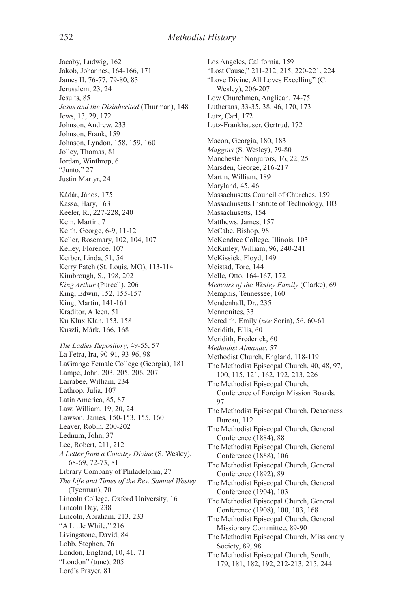Jacoby, Ludwig, 162 Jakob, Johannes, 164-166, 171 James II, 76-77, 79-80, 83 Jerusalem, 23, 24 Jesuits, 85 *Jesus and the Disinherited* (Thurman), 148 Jews, 13, 29, 172 Johnson, Andrew, 233 Johnson, Frank, 159 Johnson, Lyndon, 158, 159, 160 Jolley, Thomas, 81 Jordan, Winthrop, 6 "Junto," 27 Justin Martyr, 24 Kádár, János, 175 Kassa, Hary, 163 Keeler, R., 227-228, 240 Kein, Martin, 7 Keith, George, 6-9, 11-12 Keller, Rosemary, 102, 104, 107 Kelley, Florence, 107 Kerber, Linda, 51, 54 Kerry Patch (St. Louis, MO), 113-114 Kimbrough, S., 198, 202 *King Arthur* (Purcell), 206 King, Edwin, 152, 155-157 King, Martin, 141-161 Kraditor, Aileen, 51 Ku Klux Klan, 153, 158 Kuszli, Márk, 166, 168 *The Ladies Repository*, 49-55, 57 La Fetra, Ira, 90-91, 93-96, 98 LaGrange Female College (Georgia), 181 Lampe, John, 203, 205, 206, 207 Larrabee, William, 234 Lathrop, Julia, 107 Latin America, 85, 87 Law, William, 19, 20, 24 Lawson, James, 150-153, 155, 160 Leaver, Robin, 200-202 Lednum, John, 37 Lee, Robert, 211, 212 *A Letter from a Country Divine* (S. Wesley), 68-69, 72-73, 81 Library Company of Philadelphia, 27 *The Life and Times of the Rev. Samuel Wesley* (Tyerman), 70 Lincoln College, Oxford University, 16 Lincoln Day, 238 Lincoln, Abraham, 213, 233 "A Little While," 216 Livingstone, David, 84 Lobb, Stephen, 76 London, England, 10, 41, 71 "London" (tune), 205 Lord's Prayer, 81

Los Angeles, California, 159 "Lost Cause," 211-212, 215, 220-221, 224 "Love Divine, All Loves Excelling" (C. Wesley), 206-207 Low Churchmen, Anglican, 74-75 Lutherans, 33-35, 38, 46, 170, 173 Lutz, Carl, 172 Lutz-Frankhauser, Gertrud, 172 Macon, Georgia, 180, 183 *Maggots* (S. Wesley), 79-80 Manchester Nonjurors, 16, 22, 25 Marsden, George, 216-217 Martin, William, 189 Maryland, 45, 46 Massachusetts Council of Churches, 159 Massachusetts Institute of Technology, 103 Massachusetts, 154 Matthews, James, 157 McCabe, Bishop, 98 McKendree College, Illinois, 103 McKinley, William, 96, 240-241 McKissick, Floyd, 149 Meistad, Tore, 144 Melle, Otto, 164-167, 172 *Memoirs of the Wesley Family* (Clarke), 69 Memphis, Tennessee, 160 Mendenhall, Dr., 235 Mennonites, 33 Meredith, Emily (*nee* Sorin), 56, 60-61 Meridith, Ellis, 60 Meridith, Frederick, 60 *Methodist Almanac*, 57 Methodist Church, England, 118-119 The Methodist Episcopal Church, 40, 48, 97, 100, 115, 121, 162, 192, 213, 226 The Methodist Episcopal Church, Conference of Foreign Mission Boards, 97 The Methodist Episcopal Church, Deaconess Bureau, 112 The Methodist Episcopal Church, General Conference (1884), 88 The Methodist Episcopal Church, General Conference (1888), 106 The Methodist Episcopal Church, General Conference (1892), 89 The Methodist Episcopal Church, General Conference (1904), 103 The Methodist Episcopal Church, General Conference (1908), 100, 103, 168 The Methodist Episcopal Church, General Missionary Committee, 89-90 The Methodist Episcopal Church, Missionary Society, 89, 98 The Methodist Episcopal Church, South, 179, 181, 182, 192, 212-213, 215, 244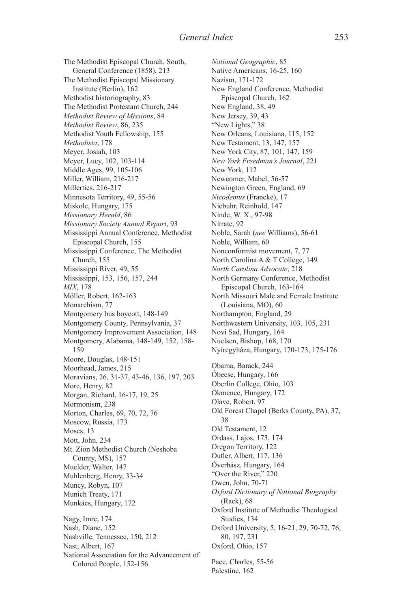The Methodist Episcopal Church, South, General Conference (1858), 213 The Methodist Episcopal Missionary Institute (Berlin), 162 Methodist historiography, 83 The Methodist Protestant Church, 244 *Methodist Review of Missions*, 84 *Methodist Review*, 86, 235 Methodist Youth Fellowship, 155 *Methodista*, 178 Meyer, Josiah, 103 Meyer, Lucy, 102, 103-114 Middle Ages, 99, 105-106 Miller, William, 216-217 Millerties, 216-217 Minnesota Territory, 49, 55-56 Miskolc, Hungary, 175 *Missionary Herald*, 86 *Missionary Society Annual Report*, 93 Mississippi Annual Conference, Methodist Episcopal Church, 155 Mississippi Conference, The Methodist Church, 155 Mississippi River, 49, 55 Mississippi, 153, 156, 157, 244 *MIX*, 178 Möller, Robert, 162-163 Monarchism, 77 Montgomery bus boycott, 148-149 Montgomery County, Pennsylvania, 37 Montgomery Improvement Association, 148 Montgomery, Alabama, 148-149, 152, 158- 159 Moore, Douglas, 148-151 Moorhead, James, 215 Moravians, 26, 31-37, 43-46, 136, 197, 203 More, Henry, 82 Morgan, Richard, 16-17, 19, 25 Mormonism, 238 Morton, Charles, 69, 70, 72, 76 Moscow, Russia, 173 Moses, 13 Mott, John, 234 Mt. Zion Methodist Church (Neshoba County, MS), 157 Muelder, Walter, 147 Muhlenberg, Henry, 33-34 Muncy, Robyn, 107 Munich Treaty, 171 Munkács, Hungary, 172 Nagy, Imre, 174 Nash, Diane, 152 Nashville, Tennessee, 150, 212 Nast, Albert, 167 National Association for the Advancement of Colored People, 152-156

*National Geographic*, 85 Native Americans, 16-25, 160 Nazism, 171-172 New England Conference, Methodist Episcopal Church, 162 New England, 38, 49 New Jersey, 39, 43 "New Lights," 38 New Orleans, Louisiana, 115, 152 New Testament, 13, 147, 157 New York City, 87, 101, 147, 159 *New York Freedman's Journal*, 221 New York, 112 Newcomer, Mabel, 56-57 Newington Green, England, 69 *Nicodemus* (Francke), 17 Niebuhr, Reinhold, 147 Ninde, W. X., 97-98 Nitrate, 92 Noble, Sarah (*nee* Williams), 56-61 Noble, William, 60 Nonconformist movement, 7, 77 North Carolina A & T College, 149 *North Carolina Advocate*, 218 North Germany Conference, Methodist Episcopal Church, 163-164 North Missouri Male and Female Institute (Louisiana, MO), 60 Northampton, England, 29 Northwestern University, 103, 105, 231 Novi Sad, Hungary, 164 Nuelsen, Bishop, 168, 170 Nyíregyháza, Hungary, 170-173, 175-176 Obama, Barack, 244 Óbecse, Hungary, 166 Oberlin College, Ohio, 103 Ókmence, Hungary, 172 Olave, Robert, 97 Old Forest Chapel (Berks County, PA), 37, 38 Old Testament, 12 Ordass, Lajos, 173, 174 Oregon Territory, 122 Outler, Albert, 117, 136 Óverbász, Hungary, 164 "Over the River," 220 Owen, John, 70-71 *Oxford Dictionary of National Biography* (Rack), 68 Oxford Institute of Methodist Theological Studies, 134 Oxford University, 5, 16-21, 29, 70-72, 76, 80, 197, 231 Oxford, Ohio, 157 Pace, Charles, 55-56

Palestine, 162

253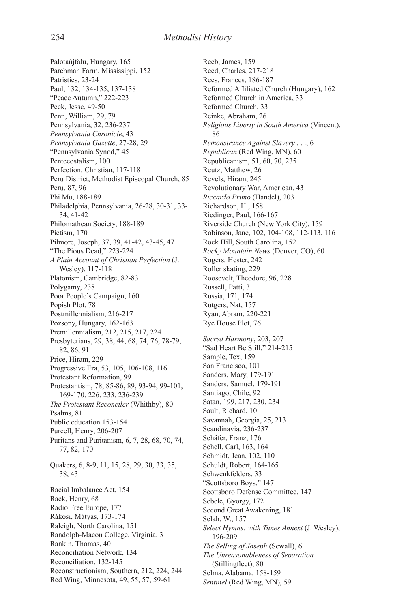Palotaújfalu, Hungary, 165 Parchman Farm, Mississippi, 152 Patristics, 23-24 Paul, 132, 134-135, 137-138 "Peace Autumn," 222-223 Peck, Jesse, 49-50 Penn, William, 29, 79 Pennsylvania, 32, 236-237 *Pennsylvania Chronicle*, 43 *Pennsylvania Gazette*, 27-28, 29 "Pennsylvania Synod," 45 Pentecostalism, 100 Perfection, Christian, 117-118 Peru District, Methodist Episcopal Church, 85 Peru, 87, 96 Phi Mu, 188-189 Philadelphia, Pennsylvania, 26-28, 30-31, 33- 34, 41-42 Philomathean Society, 188-189 Pietism, 170 Pilmore, Joseph, 37, 39, 41-42, 43-45, 47 "The Pious Dead," 223-224 *A Plain Account of Christian Perfection* (J. Wesley), 117-118 Platonism, Cambridge, 82-83 Polygamy, 238 Poor People's Campaign, 160 Popish Plot, 78 Postmillennialism, 216-217 Pozsony, Hungary, 162-163 Premillennialism, 212, 215, 217, 224 Presbyterians, 29, 38, 44, 68, 74, 76, 78-79, 82, 86, 91 Price, Hiram, 229 Progressive Era, 53, 105, 106-108, 116 Protestant Reformation, 99 Protestantism, 78, 85-86, 89, 93-94, 99-101, 169-170, 226, 233, 236-239 *The Protestant Reconciler* (Whithby), 80 Psalms, 81 Public education 153-154 Purcell, Henry, 206-207 Puritans and Puritanism, 6, 7, 28, 68, 70, 74, 77, 82, 170 Quakers, 6, 8-9, 11, 15, 28, 29, 30, 33, 35, 38, 43 Racial Imbalance Act, 154 Rack, Henry, 68 Radio Free Europe, 177 Rákosi, Mátyás, 173-174 Raleigh, North Carolina, 151 Randolph-Macon College, Virginia, 3 Rankin, Thomas, 40 Reconciliation Network, 134 Reconciliation, 132-145 Reconstructionism, Southern, 212, 224, 244 Red Wing, Minnesota, 49, 55, 57, 59-61

Reeb, James, 159 Reed, Charles, 217-218 Rees, Frances, 186-187 Reformed Affiliated Church (Hungary), 162 Reformed Church in America, 33 Reformed Church, 33 Reinke, Abraham, 26 *Religious Liberty in South America* (Vincent), 86 *Remonstrance Against Slavery* . . ., 6 *Republican* (Red Wing, MN), 60 Republicanism, 51, 60, 70, 235 Reutz, Matthew, 26 Revels, Hiram, 245 Revolutionary War, American, 43 *Riccardo Primo* (Handel), 203 Richardson, H., 158 Riedinger, Paul, 166-167 Riverside Church (New York City), 159 Robinson, Jane, 102, 104-108, 112-113, 116 Rock Hill, South Carolina, 152 *Rocky Mountain News* (Denver, CO), 60 Rogers, Hester, 242 Roller skating, 229 Roosevelt, Theodore, 96, 228 Russell, Patti, 3 Russia, 171, 174 Rutgers, Nat, 157 Ryan, Abram, 220-221 Rye House Plot, 76 *Sacred Harmony*, 203, 207 "Sad Heart Be Still," 214-215 Sample, Tex, 159 San Francisco, 101 Sanders, Mary, 179-191 Sanders, Samuel, 179-191 Santiago, Chile, 92 Satan, 199, 217, 230, 234 Sault, Richard, 10 Savannah, Georgia, 25, 213 Scandinavia, 236-237 Schäfer, Franz, 176 Schell, Carl, 163, 164 Schmidt, Jean, 102, 110 Schuldt, Robert, 164-165 Schwenkfelders, 33 "Scottsboro Boys," 147 Scottsboro Defense Committee, 147 Sebele, György, 172 Second Great Awakening, 181 Selah, W., 157 *Select Hymns: with Tunes Annext* (J. Wesley), 196-209 *The Selling of Joseph* (Sewall), 6 *The Unreasonableness of Separation* (Stillingfleet), 80 Selma, Alabama, 158-159 *Sentinel* (Red Wing, MN), 59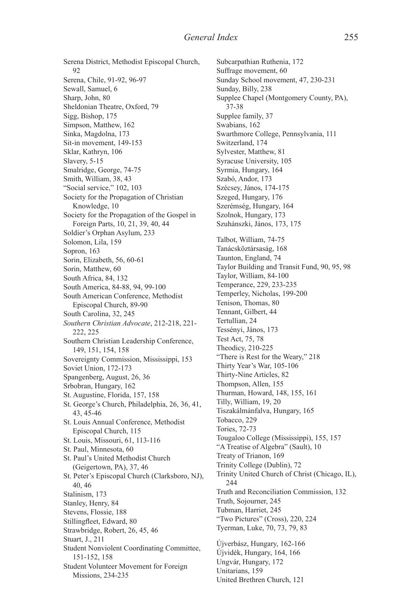Serena District, Methodist Episcopal Church, 92 Serena, Chile, 91-92, 96-97 Sewall, Samuel, 6 Sharp, John, 80 Sheldonian Theatre, Oxford, 79 Sigg, Bishop, 175 Simpson, Matthew, 162 Sinka, Magdolna, 173 Sit-in movement, 149-153 Sklar, Kathryn, 106 Slavery, 5-15 Smalridge, George, 74-75 Smith, William, 38, 43 "Social service," 102, 103 Society for the Propagation of Christian Knowledge, 10 Society for the Propagation of the Gospel in Foreign Parts, 10, 21, 39, 40, 44 Soldier's Orphan Asylum, 233 Solomon, Lila, 159 Sopron, 163 Sorin, Elizabeth, 56, 60-61 Sorin, Matthew, 60 South Africa, 84, 132 South America, 84-88, 94, 99-100 South American Conference, Methodist Episcopal Church, 89-90 South Carolina, 32, 245 *Southern Christian Advocate*, 212-218, 221- 222, 225 Southern Christian Leadership Conference, 149, 151, 154, 158 Sovereignty Commission, Mississippi, 153 Soviet Union, 172-173 Spangenberg, August, 26, 36 Srbobran, Hungary, 162 St. Augustine, Florida, 157, 158 St. George's Church, Philadelphia, 26, 36, 41, 43, 45-46 St. Louis Annual Conference, Methodist Episcopal Church, 115 St. Louis, Missouri, 61, 113-116 St. Paul, Minnesota, 60 St. Paul's United Methodist Church (Geigertown, PA), 37, 46 St. Peter's Episcopal Church (Clarksboro, NJ), 40, 46 Stalinism, 173 Stanley, Henry, 84 Stevens, Flossie, 188 Stillingfleet, Edward, 80 Strawbridge, Robert, 26, 45, 46 Stuart, J., 211 Student Nonviolent Coordinating Committee, 151-152, 158 Student Volunteer Movement for Foreign Missions, 234-235

Subcarpathian Ruthenia, 172 Suffrage movement, 60 Sunday School movement, 47, 230-231 Sunday, Billy, 238 Supplee Chapel (Montgomery County, PA), 37-38 Supplee family, 37 Swabians, 162 Swarthmore College, Pennsylvania, 111 Switzerland, 174 Sylvester, Matthew, 81 Syracuse University, 105 Syrmia, Hungary, 164 Szabó, Andor, 173 Szécsey, János, 174-175 Szeged, Hungary, 176 Szerémség, Hungary, 164 Szolnok, Hungary, 173 Szuhánszki, János, 173, 175 Talbot, William, 74-75 Tanácsköztársaság, 168 Taunton, England, 74 Taylor Building and Transit Fund, 90, 95, 98 Taylor, William, 84-100 Temperance, 229, 233-235 Temperley, Nicholas, 199-200 Tenison, Thomas, 80 Tennant, Gilbert, 44 Tertullian, 24 Tessényi, János, 173 Test Act, 75, 78 Theodicy, 210-225 "There is Rest for the Weary," 218 Thirty Year's War, 105-106 Thirty-Nine Articles, 82 Thompson, Allen, 155 Thurman, Howard, 148, 155, 161 Tilly, William, 19, 20 Tiszakálmánfalva, Hungary, 165 Tobacco, 229 Tories, 72-73 Tougaloo College (Mississippi), 155, 157 "A Treatise of Algebra" (Sault), 10 Treaty of Trianon, 169 Trinity College (Dublin), 72 Trinity United Church of Christ (Chicago, IL), 244 Truth and Reconciliation Commission, 132 Truth, Sojourner, 245 Tubman, Harriet, 245 "Two Pictures" (Cross), 220, 224 Tyerman, Luke, 70, 73, 79, 83 Újverbász, Hungary, 162-166 Újvidék, Hungary, 164, 166 Ungvár, Hungary, 172 Unitarians, 159 United Brethren Church, 121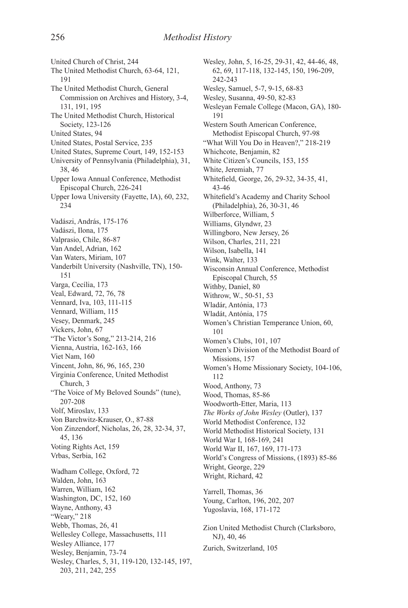United Church of Christ, 244 The United Methodist Church, 63-64, 121, 191 The United Methodist Church, General Commission on Archives and History, 3-4, 131, 191, 195 The United Methodist Church, Historical Society, 123-126 United States, 94 United States, Postal Service, 235 United States, Supreme Court, 149, 152-153 University of Pennsylvania (Philadelphia), 31, 38, 46 Upper Iowa Annual Conference, Methodist Episcopal Church, 226-241 Upper Iowa University (Fayette, IA), 60, 232, 234 Vadászi, András, 175-176 Vadászi, Ilona, 175 Valprasio, Chile, 86-87 Van Andel, Adrian, 162 Van Waters, Miriam, 107 Vanderbilt University (Nashville, TN), 150- 151 Varga, Cecília, 173 Veal, Edward, 72, 76, 78 Vennard, Iva, 103, 111-115 Vennard, William, 115 Vesey, Denmark, 245 Vickers, John, 67 "The Victor's Song," 213-214, 216 Vienna, Austria, 162-163, 166 Viet Nam, 160 Vincent, John, 86, 96, 165, 230 Virginia Conference, United Methodist Church, 3 "The Voice of My Beloved Sounds" (tune), 207-208 Volf, Miroslav, 133 Von Barchwitz-Krauser, O., 87-88 Von Zinzendorf, Nicholas, 26, 28, 32-34, 37, 45, 136 Voting Rights Act, 159 Vrbas, Serbia, 162 Wadham College, Oxford, 72 Walden, John, 163 Warren, William, 162 Washington, DC, 152, 160 Wayne, Anthony, 43 "Weary," 218 Webb, Thomas, 26, 41 Wellesley College, Massachusetts, 111 Wesley Alliance, 177 Wesley, Benjamin, 73-74 Wesley, Charles, 5, 31, 119-120, 132-145, 197, 203, 211, 242, 255

Wesley, John, 5, 16-25, 29-31, 42, 44-46, 48, 62, 69, 117-118, 132-145, 150, 196-209, 242-243 Wesley, Samuel, 5-7, 9-15, 68-83 Wesley, Susanna, 49-50, 82-83 Wesleyan Female College (Macon, GA), 180- 191 Western South American Conference, Methodist Episcopal Church, 97-98 "What Will You Do in Heaven?," 218-219 Whichcote, Benjamin, 82 White Citizen's Councils, 153, 155 White, Jeremiah, 77 Whitefield, George, 26, 29-32, 34-35, 41, 43-46 Whitefield's Academy and Charity School (Philadelphia), 26, 30-31, 46 Wilberforce, William, 5 Williams, Glyndwr, 23 Willingboro, New Jersey, 26 Wilson, Charles, 211, 221 Wilson, Isabella, 141 Wink, Walter, 133 Wisconsin Annual Conference, Methodist Episcopal Church, 55 Withby, Daniel, 80 Withrow, W., 50-51, 53 Wladár, Antónia, 173 Wladát, Antónia, 175 Women's Christian Temperance Union, 60, 101 Women's Clubs, 101, 107 Women's Division of the Methodist Board of Missions, 157 Women's Home Missionary Society, 104-106, 112 Wood, Anthony, 73 Wood, Thomas, 85-86 Woodworth-Etter, Maria, 113 *The Works of John Wesley* (Outler), 137 World Methodist Conference, 132 World Methodist Historical Society, 131 World War I, 168-169, 241 World War II, 167, 169, 171-173 World's Congress of Missions, (1893) 85-86 Wright, George, 229 Wright, Richard, 42 Yarrell, Thomas, 36 Young, Carlton, 196, 202, 207 Yugoslavia, 168, 171-172 Zion United Methodist Church (Clarksboro, NJ), 40, 46 Zurich, Switzerland, 105